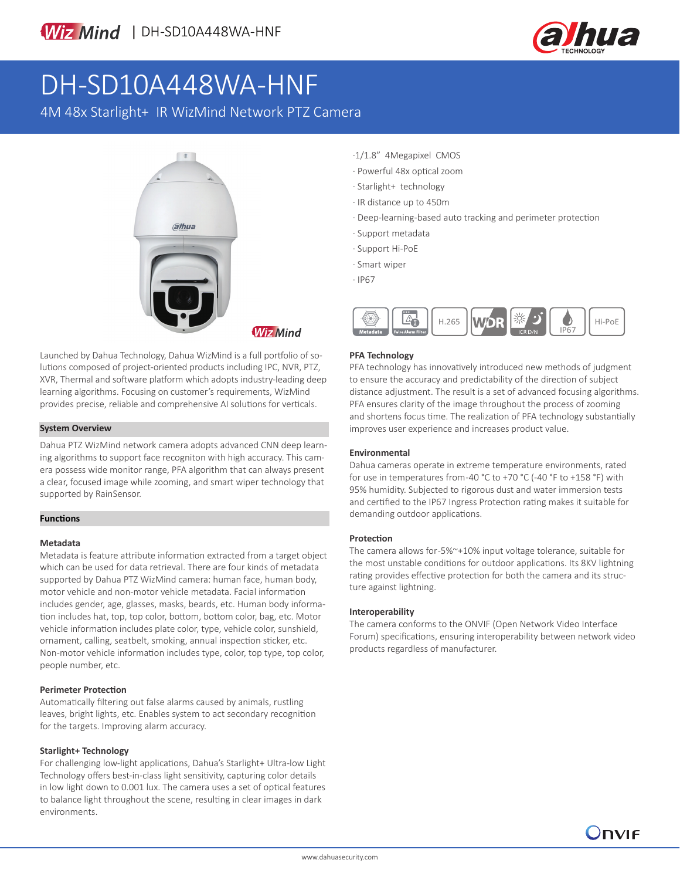

# DH-SD10A448WA-HNF

4M 48x Starlight+ IR WizMind Network PTZ Camera



Launched by Dahua Technology, Dahua WizMind is a full portfolio of solutions composed of project-oriented products including IPC, NVR, PTZ, XVR, Thermal and software platform which adopts industry-leading deep learning algorithms. Focusing on customer's requirements, WizMind provides precise, reliable and comprehensive AI solutions for verticals.

### **System Overview**

Dahua PTZ WizMind network camera adopts advanced CNN deep learning algorithms to support face recogniton with high accuracy. This camera possess wide monitor range, PFA algorithm that can always present a clear, focused image while zooming, and smart wiper technology that supported by RainSensor.

### **Functions**

### **Metadata**

Metadata is feature attribute information extracted from a target object which can be used for data retrieval. There are four kinds of metadata supported by Dahua PTZ WizMind camera: human face, human body, motor vehicle and non-motor vehicle metadata. Facial information includes gender, age, glasses, masks, beards, etc. Human body information includes hat, top, top color, bottom, bottom color, bag, etc. Motor vehicle information includes plate color, type, vehicle color, sunshield, ornament, calling, seatbelt, smoking, annual inspection sticker, etc. Non-motor vehicle information includes type, color, top type, top color, people number, etc.

### **Perimeter Protection**

Automatically filtering out false alarms caused by animals, rustling leaves, bright lights, etc. Enables system to act secondary recognition for the targets. Improving alarm accuracy.

### **Starlight+ Technology**

For challenging low-light applications, Dahua's Starlight+ Ultra-low Light Technology offers best-in-class light sensitivity, capturing color details in low light down to 0.001 lux. The camera uses a set of optical features to balance light throughout the scene, resulting in clear images in dark environments.

- ·1/1.8" 4Megapixel CMOS
- · Powerful 48x optical zoom
- · Starlight+ technology
- · IR distance up to 450m
- · Deep-learning-based auto tracking and perimeter protection
- · Support metadata
- · Support Hi-PoE
- · Smart wiper
- · IP67



### **PFA Technology**

PFA technology has innovatively introduced new methods of judgment to ensure the accuracy and predictability of the direction of subject distance adjustment. The result is a set of advanced focusing algorithms. PFA ensures clarity of the image throughout the process of zooming and shortens focus time. The realization of PFA technology substantially improves user experience and increases product value.

### **Environmental**

Dahua cameras operate in extreme temperature environments, rated for use in temperatures from -40 °C to +70 °C (-40 °F to +158 °F) with 95% humidity. Subjected to rigorous dust and water immersion tests and certified to the IP67 Ingress Protection rating makes it suitable for demanding outdoor applications.

### **Protection**

The camera allows for -5%~+10% input voltage tolerance, suitable for the most unstable conditions for outdoor applications. Its 8KV lightning rating provides effective protection for both the camera and its structure against lightning.

### **Interoperability**

The camera conforms to the ONVIF (Open Network Video Interface Forum) specifications, ensuring interoperability between network video products regardless of manufacturer.

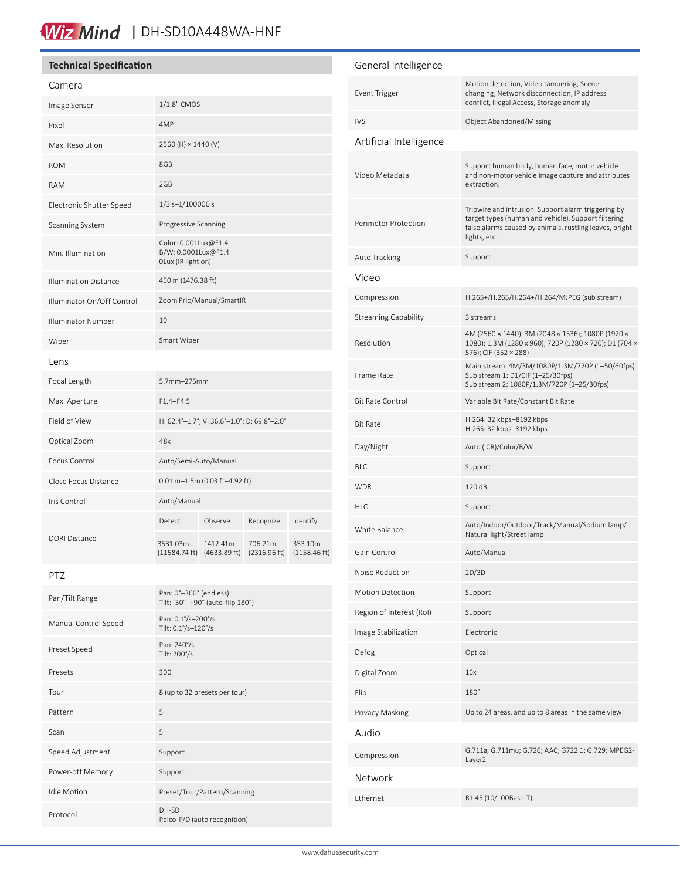## Wiz Mind | DH-SD10A448WA-HNF

### **Technical Specification**

#### Camera

| Image Sensor                 | 1/1.8" CMOS                                                       |          |                         |                                   |
|------------------------------|-------------------------------------------------------------------|----------|-------------------------|-----------------------------------|
| Pixel                        | 4MP                                                               |          |                         |                                   |
| Max. Resolution              | 2560 (H) × 1440 (V)                                               |          |                         |                                   |
| <b>ROM</b>                   | 8GB                                                               |          |                         |                                   |
| <b>RAM</b>                   | 2GB                                                               |          |                         |                                   |
| Electronic Shutter Speed     | $1/3$ s- $1/100000$ s                                             |          |                         |                                   |
| Scanning System              | Progressive Scanning                                              |          |                         |                                   |
| Min. Illumination            | Color: 0.001Lux@F1.4<br>B/W: 0.0001Lux@F1.4<br>OLux (IR light on) |          |                         |                                   |
| <b>Illumination Distance</b> | 450 m (1476.38 ft)                                                |          |                         |                                   |
| Illuminator On/Off Control   | Zoom Prio/Manual/SmartIR                                          |          |                         |                                   |
| Illuminator Number           | 10                                                                |          |                         |                                   |
| Wiper                        | Smart Wiper                                                       |          |                         |                                   |
| Lens                         |                                                                   |          |                         |                                   |
| Focal Length                 | 5.7mm-275mm                                                       |          |                         |                                   |
| Max. Aperture                | $F1.4 - F4.5$                                                     |          |                         |                                   |
| Field of View                | H: 62.4°-1.7°; V: 36.6°-1.0°; D: 69.8°-2.0°                       |          |                         |                                   |
| Optical Zoom                 | 48x                                                               |          |                         |                                   |
| Focus Control                | Auto/Semi-Auto/Manual                                             |          |                         |                                   |
| Close Focus Distance         | $0.01$ m-1.5m (0.03 ft-4.92 ft)                                   |          |                         |                                   |
| Iris Control                 | Auto/Manual                                                       |          |                         |                                   |
| DORI Distance                | Detect                                                            | Observe  | Recognize               | Identify                          |
|                              | 3531.03m<br>(11584.74 ft) (4633.89 ft)                            | 1412.41m | 706.21m<br>(2316.96 ft) | 353.10m<br>$(1158.46 \text{ ft})$ |

### PTZ

| Pan/Tilt Range       | Pan: 0°-360° (endless)<br>Tilt: -30°-+90° (auto-flip 180°) |
|----------------------|------------------------------------------------------------|
| Manual Control Speed | Pan: 0.1%-200%<br>Tilt: 0.1°/s-120°/s                      |
| Preset Speed         | Pan: 240%<br>Tilt: 200%                                    |
| Presets              | 300                                                        |
| Tour                 | 8 (up to 32 presets per tour)                              |
| Pattern              | 5                                                          |
| Scan                 | 5                                                          |
| Speed Adjustment     | Support                                                    |
| Power-off Memory     | Support                                                    |
| <b>Idle Motion</b>   | Preset/Tour/Pattern/Scanning                               |
| Protocol             | DH-SD<br>Pelco-P/D (auto recognition)                      |

### General Intelligence Event Trigger Motion detection, Video tampering, Scene changing, Network disconnection, IP address conflict, Illegal Access, Storage anomaly IVS Object Abandoned/Missing Artificial Intelligence Video Metadata Support human body, human face, motor vehicle and non-motor vehicle image capture and attributes extraction. Perimeter Protection Tripwire and intrusion. Support alarm triggering by target types (human and vehicle). Support filtering false alarms caused by animals, rustling leaves, bright lights, etc. Auto Tracking Support Video Compression H.265+/H.265/H.264+/H.264/MJPEG (sub stream) Streaming Capability 3 streams Resolution 4M (2560 × 1440); 3M (2048 × 1536); 1080P (1920 × 1080); 1.3M (1280 x 960); 720P (1280 × 720); D1 (704 × 576); CIF (352 × 288) Frame Rate Main stream: 4M/3M/1080P/1.3M/720P (1–50/60fps) Sub stream 1: D1/CIF (1–25/30fps) Sub stream 2: 1080P/1.3M/720P (1–25/30fps) Bit Rate Control Variable Bit Rate/Constant Bit Rate Bit Rate H.264: 32 kbps–8192 kbps H.265: 32 kbps–8192 kbps Day/Night Auto (ICR)/Color/B/W BLC Support WDR 120 dB HLC Support White Balance Auto/Indoor/Outdoor/Track/Manual/Sodium lamp/ Natural light/Street lamp Gain Control **Auto/Manual** Noise Reduction 2D/3D Motion Detection Support Region of Interest (RoI) Support Image Stabilization Electronic Defog Optical Digital Zoom 16x Flip 180° Privacy Masking Up to 24 areas, and up to 8 areas in the same view Audio Compression G.711a; G.711mu; G.726; AAC; G722.1; G.729; MPEG2- Layer2 Network Ethernet RJ-45 (10/100Base-T)